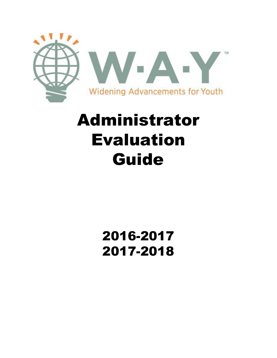

# Administrator Evaluation Guide

## 2016-2017 2017-2018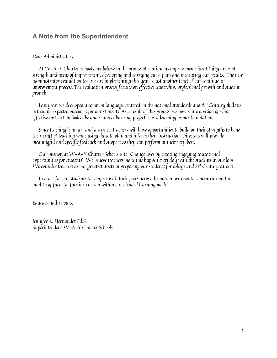## **A Note from the Superintendent**

#### Dear Administrators,

At W-A-Y Charter Schools, we believe in the process of continuous improvement; identifying areas of strength and areas of improvement, developing and carrying out a plan and measuring our results. The new administrator evaluation tool we are implementing this year is just another tenet of our continuous improvement process. The evaluation process focuses on effective leadership, professional growth and student growth.

Last year, we developed a common language centered on the national standards and 21 st Century skills to articulate expected outcomes for our students. As a result of this process, we now share a vision of what ef ective instruction looks like and sounds like using project-based learning as our foundation.

Since teaching is an art and a science; teachers will have opportunities to build on their strengths to hone their craft of teaching while using data to plan and inform their instruction. Directors will provide meaningful and specific feedback and support so they can perform at their very best.

Our mission at W-A-Y Charter Schools is to "Change lives by creating engaging educational opportunities for students". We believe teachers make this happen everyday with the students in our labs. We consider teachers as our greatest assets in preparing our students for college and 21st Century careers.

In order for our students to compete with their peers across the nation, we need to concentrate on the quality of face-to-face instruction within our blended learning model.

Educationally yours,

Jennifer A. Hernandez Ed.S. Superintendent W-A-Y Charter Schools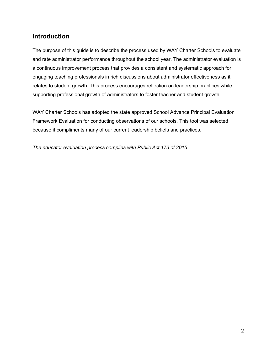## **Introduction**

The purpose of this guide is to describe the process used by WAY Charter Schools to evaluate and rate administrator performance throughout the school year. The administrator evaluation is a continuous improvement process that provides a consistent and systematic approach for engaging teaching professionals in rich discussions about administrator effectiveness as it relates to student growth. This process encourages reflection on leadership practices while supporting professional growth of administrators to foster teacher and student growth.

WAY Charter Schools has adopted the state approved School Advance Principal Evaluation Framework Evaluation for conducting observations of our schools. This tool was selected because it compliments many of our current leadership beliefs and practices.

*The educator evaluation process complies with Public Act 173 of 2015.*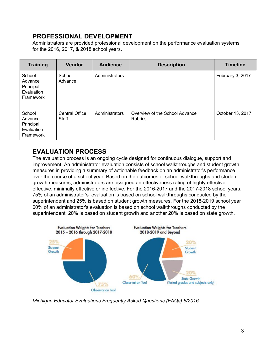## **PROFESSIONAL DEVELOPMENT**

Administrators are provided professional development on the performance evaluation systems for the 2016, 2017, & 2018 school years.

| <b>Training</b>                                           | <b>Vendor</b>                  | <b>Audience</b> | <b>Description</b>                               | <b>Timeline</b>  |
|-----------------------------------------------------------|--------------------------------|-----------------|--------------------------------------------------|------------------|
| School<br>Advance<br>Principal<br>Evaluation<br>Framework | School<br>Advance              | Administrators  |                                                  | February 3, 2017 |
| School<br>Advance<br>Principal<br>Evaluation<br>Framework | <b>Central Office</b><br>Staff | Administrators  | Overview of the School Advance<br><b>Rubrics</b> | October 13, 2017 |

## **EVALUATION PROCESS**

The evaluation process is an ongoing cycle designed for continuous dialogue, support and improvement. An administrator evaluation consists of school walkthroughs and student growth measures in providing a summary of actionable feedback on an administrator's performance over the course of a school year. Based on the outcomes of school walkthroughs and student growth measures, administrators are assigned an effectiveness rating of highly effective, effective, minimally effective or ineffective. For the 2016-2017 and the 2017-2018 school years, 75% of an administrator's evaluation is based on school walkthroughs conducted by the superintendent and 25% is based on student growth measures. For the 2018-2019 school year 60% of an administrator's evaluation is based on school walkthroughs conducted by the superintendent, 20% is based on student growth and another 20% is based on state growth.



*Michigan Educator Evaluations Frequently Asked Questions (FAQs) 6/2016*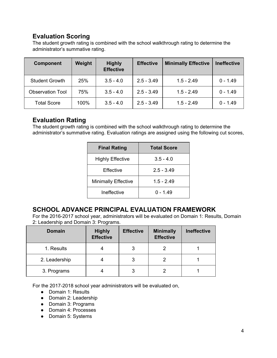## **Evaluation Scoring**

The student growth rating is combined with the school walkthrough rating to determine the administrator's summative rating.

| <b>Component</b>        | Weight | <b>Highly</b><br><b>Effective</b> | <b>Effective</b> | <b>Minimally Effective</b> | <b>Ineffective</b> |
|-------------------------|--------|-----------------------------------|------------------|----------------------------|--------------------|
| <b>Student Growth</b>   | 25%    | $3.5 - 4.0$                       | $2.5 - 3.49$     | $1.5 - 2.49$               | $0 - 1.49$         |
| <b>Observation Tool</b> | 75%    | $3.5 - 4.0$                       | $2.5 - 3.49$     | $1.5 - 2.49$               | $0 - 1.49$         |
| <b>Total Score</b>      | 100%   | $3.5 - 4.0$                       | $2.5 - 3.49$     | $1.5 - 2.49$               | $0 - 1.49$         |

## **Evaluation Rating**

The student growth rating is combined with the school walkthrough rating to determine the administrator's summative rating. Evaluation ratings are assigned using the following cut scores,

| <b>Final Rating</b>        | <b>Total Score</b> |
|----------------------------|--------------------|
| <b>Highly Effective</b>    | $3.5 - 4.0$        |
| Effective                  | $2.5 - 3.49$       |
| <b>Minimally Effective</b> | $1.5 - 2.49$       |
| Ineffective                | በ - 1 49           |

## **SCHOOL ADVANCE PRINCIPAL EVALUATION FRAMEWORK**

For the 2016-2017 school year, administrators will be evaluated on Domain 1: Results, Domain 2: Leadership and Domain 3: Programs.

| <b>Domain</b> | <b>Highly</b><br><b>Effective</b> | <b>Effective</b> | <b>Minimally</b><br><b>Effective</b> | <b>Ineffective</b> |
|---------------|-----------------------------------|------------------|--------------------------------------|--------------------|
| 1. Results    |                                   | 3                |                                      |                    |
| 2. Leadership |                                   | 3                |                                      |                    |
| 3. Programs   |                                   | 3                |                                      |                    |

For the 2017-2018 school year administrators will be evaluated on,

- Domain 1: Results
- Domain 2: Leadership
- Domain 3: Programs
- Domain 4: Processes
- Domain 5: Systems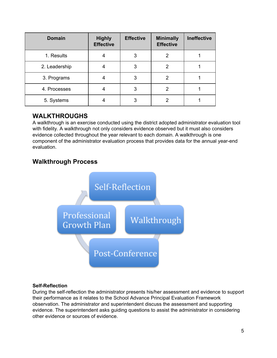| <b>Domain</b> | <b>Highly</b><br><b>Effective</b> | <b>Effective</b> | <b>Minimally</b><br><b>Effective</b> | <b>Ineffective</b> |
|---------------|-----------------------------------|------------------|--------------------------------------|--------------------|
| 1. Results    |                                   | 3                | 2                                    |                    |
| 2. Leadership |                                   | 3                | 2                                    |                    |
| 3. Programs   |                                   | 3                | 2                                    |                    |
| 4. Processes  | 4                                 | 3                | 2                                    |                    |
| 5. Systems    |                                   | 3                | າ                                    |                    |

## **WALKTHROUGHS**

A walkthrough is an exercise conducted using the district adopted administrator evaluation tool with fidelity. A walkthrough not only considers evidence observed but it must also considers evidence collected throughout the year relevant to each domain. A walkthrough is one component of the administrator evaluation process that provides data for the annual year-end evaluation.

## **Walkthrough Process**



#### **Self-Reflection**

During the self-reflection the administrator presents his/her assessment and evidence to support their performance as it relates to the School Advance Principal Evaluation Framework observation. The administrator and superintendent discuss the assessment and supporting evidence. The superintendent asks guiding questions to assist the administrator in considering other evidence or sources of evidence.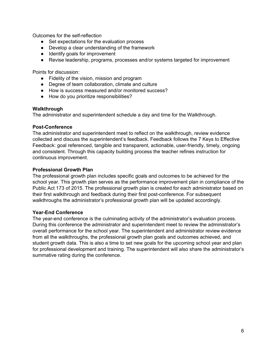Outcomes for the self-reflection

- Set expectations for the evaluation process
- Develop a clear understanding of the framework
- Identify goals for improvement
- Revise leadership, programs, processes and/or systems targeted for improvement

Points for discussion:

- Fidelity of the vision, mission and program
- Degree of team collaboration, climate and culture
- How is success measured and/or monitored success?
- How do you prioritize responsibilities?

#### **Walkthrough**

The administrator and superintendent schedule a day and time for the Walkthrough.

#### **Post-Conference**

The administrator and superintendent meet to reflect on the walkthrough, review evidence collected and discuss the superintendent's feedback. Feedback follows the 7 Keys to Effective Feedback: goal referenced, tangible and transparent, actionable, user-friendly, timely, ongoing and consistent. Through this capacity building process the teacher refines instruction for continuous improvement.

#### **Professional Growth Plan**

The professional growth plan includes specific goals and outcomes to be achieved for the school year. This growth plan serves as the performance improvement plan in compliance of the Public Act 173 of 2015. The professional growth plan is created for each administrator based on their first walkthrough and feedback during their first post-conference. For subsequent walkthroughs the administrator's professional growth plan will be updated accordingly.

#### **Year-End Conference**

The year-end conference is the culminating activity of the administrator's evaluation process. During this conference the administrator and superintendent meet to review the administrator's overall performance for the school year. The superintendent and administrator review evidence from all the walkthroughs, the professional growth plan goals and outcomes achieved, and student growth data. This is also a time to set new goals for the upcoming school year and plan for professional development and training. The superintendent will also share the administrator's summative rating during the conference.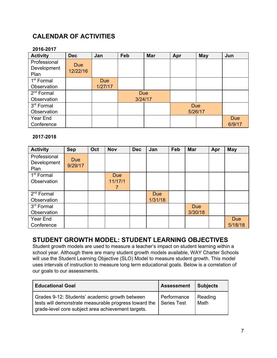## **CALENDAR OF ACTIVITIES**

#### **2016-2017**

| <b>Activity</b>                | <b>Dec</b>             | Jan                   | Feb     | <b>Mar</b> | Apr        | <b>May</b> | Jun        |
|--------------------------------|------------------------|-----------------------|---------|------------|------------|------------|------------|
| Professional<br>Development    | <b>Due</b><br>12/22/16 |                       |         |            |            |            |            |
| Plan<br>1 <sup>st</sup> Formal |                        |                       |         |            |            |            |            |
| Observation                    |                        | <b>Due</b><br>1/27/17 |         |            |            |            |            |
| $2nd$ Formal                   |                        |                       |         | <b>Due</b> |            |            |            |
| Observation                    |                        |                       | 3/24/17 |            |            |            |            |
| 3rd Formal                     |                        |                       |         |            | <b>Due</b> |            |            |
| Observation                    |                        |                       |         |            |            | 5/26/17    |            |
| Year End                       |                        |                       |         |            |            |            | <b>Due</b> |
| Conference                     |                        |                       |         |            |            |            | 6/9/17     |

#### **2017-2018**

| <b>Activity</b>                       | <b>Sep</b>            | Oct | <b>Nov</b>                 | <b>Dec</b> | Jan                   | Feb | <b>Mar</b>            | Apr | <b>May</b>            |
|---------------------------------------|-----------------------|-----|----------------------------|------------|-----------------------|-----|-----------------------|-----|-----------------------|
| Professional<br>Development<br>Plan   | <b>Due</b><br>9/29/17 |     |                            |            |                       |     |                       |     |                       |
| 1 <sup>st</sup> Formal<br>Observation |                       |     | <b>Due</b><br>11/17/1<br>7 |            |                       |     |                       |     |                       |
| $2nd$ Formal<br>Observation           |                       |     |                            |            | <b>Due</b><br>1/31/18 |     |                       |     |                       |
| 3 <sup>rd</sup> Formal<br>Observation |                       |     |                            |            |                       |     | <b>Due</b><br>3/30/18 |     |                       |
| Year End<br>Conference                |                       |     |                            |            |                       |     |                       |     | <b>Due</b><br>5/18/18 |

## **STUDENT GROWTH MODEL: STUDENT LEARNING OBJECTIVES**

Student growth models are used to measure a teacher's impact on student learning within a school year. Although there are many student growth models available, WAY Charter Schools will use the Student Learning Objective (SLO) Model to measure student growth. This model uses intervals of instruction to measure long term educational goals. Below is a correlation of our goals to our assessments.

| <b>Educational Goal</b>                                                                                                                                       | <b>Assessment</b>                 | <b>Subjects</b> |
|---------------------------------------------------------------------------------------------------------------------------------------------------------------|-----------------------------------|-----------------|
| Grades 9-12: Students' academic growth between<br>tests will demonstrate measurable progress toward the<br>grade-level core subject area achievement targets. | Performance<br><b>Series Test</b> | Reading<br>Math |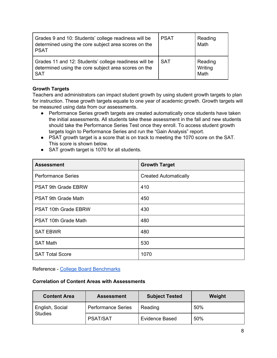| Grades 9 and 10: Students' college readiness will be<br>determined using the core subject area scores on the<br><b>PSAT</b> | <b>PSAT</b> | Reading<br>Math            |
|-----------------------------------------------------------------------------------------------------------------------------|-------------|----------------------------|
| Grades 11 and 12: Students' college readiness will be<br>determined using the core subject area scores on the<br><b>SAT</b> | <b>SAT</b>  | Reading<br>Writing<br>Math |

#### **Growth Targets**

Teachers and administrators can impact student growth by using student growth targets to plan for instruction. These growth targets equate to one year of academic growth. Growth targets will be measured using data from our assessments.

- Performance Series growth targets are created automatically once students have taken the initial assessments. All students take these assessment in the fall and new students should take the Performance Series Test once they enroll. To access student growth targets login to Performance Series and run the "Gain Analysis" report.
- PSAT growth target is a score that is on track to meeting the 1070 score on the SAT. This score is shown below.
- SAT growth target is 1070 for all students.

| <b>Assessment</b>           | <b>Growth Target</b>         |
|-----------------------------|------------------------------|
| <b>Performance Series</b>   | <b>Created Automatically</b> |
| PSAT 9th Grade EBRW         | 410                          |
| <b>PSAT 9th Grade Math</b>  | 450                          |
| <b>PSAT 10th Grade EBRW</b> | 430                          |
| <b>PSAT 10th Grade Math</b> | 480                          |
| <b>SAT EBWR</b>             | 480                          |
| <b>SAT Math</b>             | 530                          |
| <b>SAT Total Score</b>      | 1070                         |

Reference - College Board [Benchmarks](https://collegereadiness.collegeboard.org/about/scores/benchmarks)

#### **Correlation of Content Areas with Assessments**

| <b>Content Area</b> | <b>Assessment</b>         | <b>Subject Tested</b> |     |
|---------------------|---------------------------|-----------------------|-----|
| English, Social     | <b>Performance Series</b> | Reading               | 50% |
| <b>Studies</b>      | <b>PSAT/SAT</b>           | <b>Evidence Based</b> | 50% |